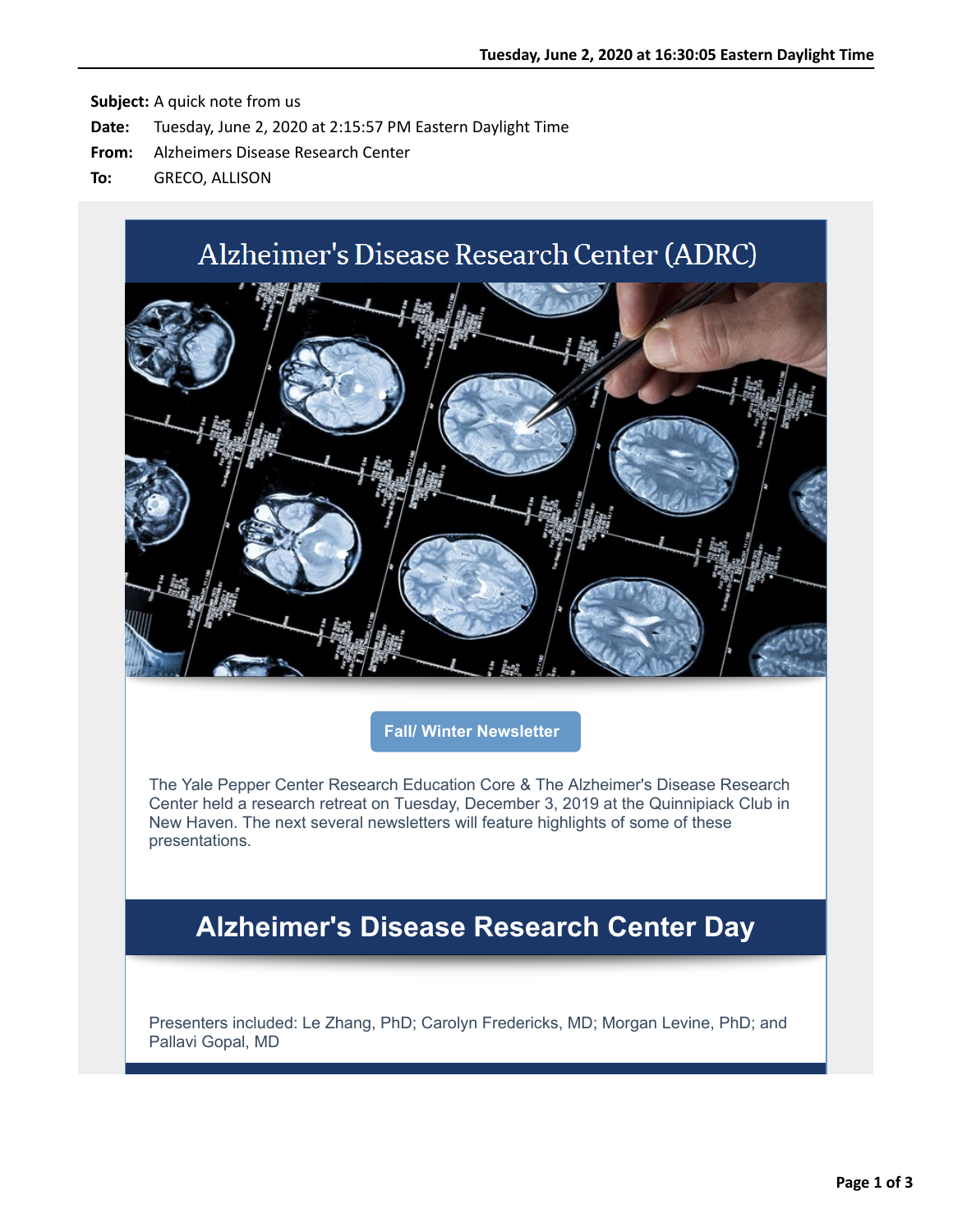# Alzheimer's Disease Research Center (ADRC)



**[Fall/ Winter Newsletter](https://nam05.safelinks.protection.outlook.com/?url=http%3A%2F%2Fr20.rs6.net%2Ftn.jsp%3Ff%3D001iOv2EU28jFuVeC_Bi2WiUy_D9r3AsOh_PM4iqyRWYO4hfiMfJn7nQ_zCejJ3060MzahCZ046K5RiSO4D0rfpZuHcM0Vz6SF5GQ86QYTERFQgl46LcWPSu5TnLPxQ8e4BjVB3Di3WIjqORB1qSJ57kDkFGgR2FWcTsSqWn8vfV-0%3D%26c%3DCgdGdlTscLeoX-_nxLF7l5jmtcLN6raeVKhHwOA0OVAd9001EL3Afg%3D%3D%26ch%3DZMShZIkb43XoDODjBMKRdBmz5_43hQvEkgRitBA_BiqcVhQ2TZr7fQ%3D%3D&data=02%7C01%7Callison.greco%40yale.edu%7Cf14d62f76bca40dfd35d08d80721005d%7Cdd8cbebb21394df8b4114e3e87abeb5c%7C0%7C0%7C637267185610127235&sdata=3uo2FPIe%2BATvFGJJUyNziCphLkvKrVFuforSK%2Bg1Ouw%3D&reserved=0)**

The Yale Pepper Center Research Education Core & The Alzheimer's Disease Research Center held a research retreat on Tuesday, December 3, 2019 at the Quinnipiack Club in New Haven. The next several newsletters will feature highlights of some of these presentations.

## **Alzheimer's Disease Research Center Day**

Presenters included: Le Zhang, PhD; Carolyn Fredericks, MD; Morgan Levine, PhD; and Pallavi Gopal, MD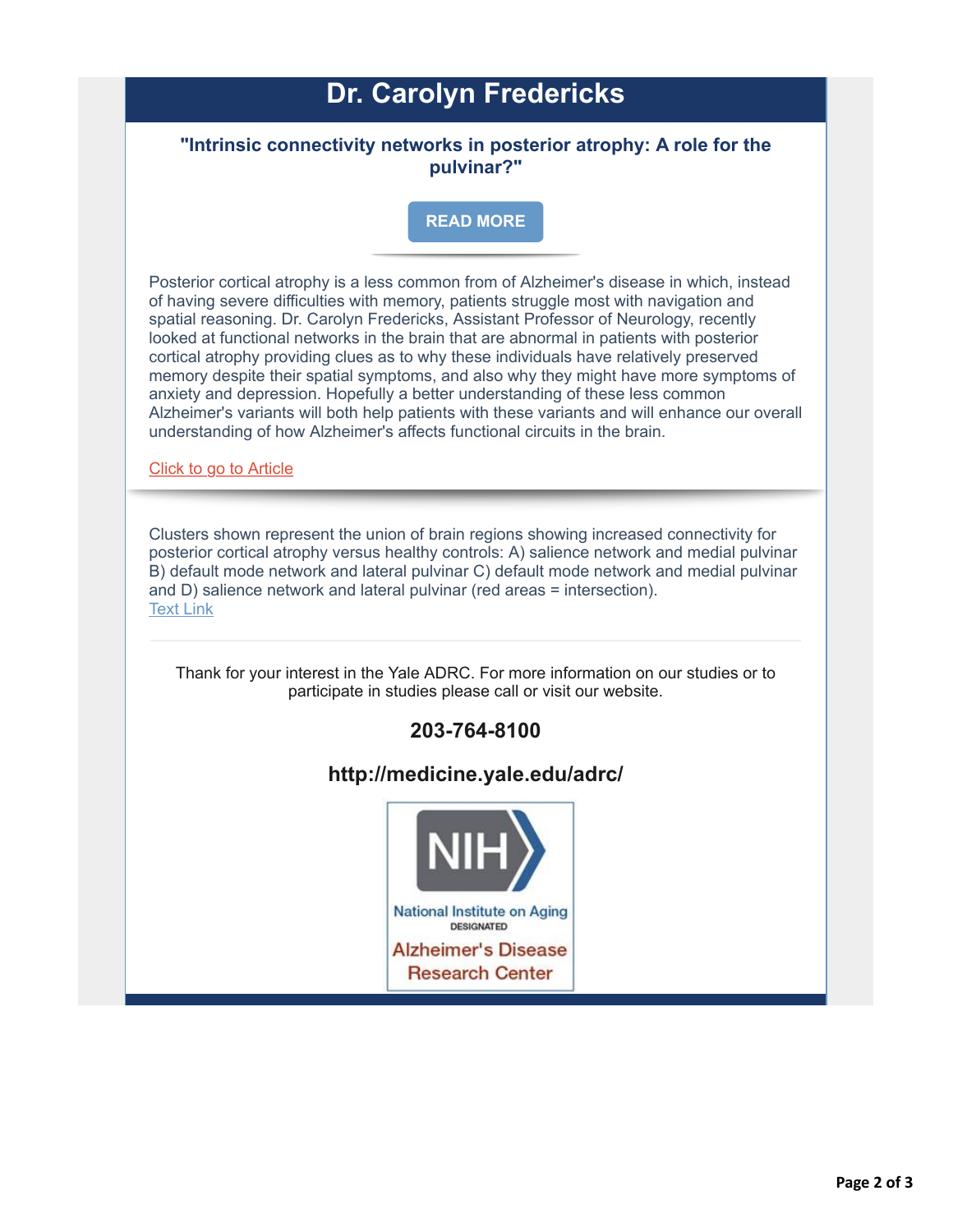# **Dr. Carolyn Fredericks**

### **"Intrinsic connectivity networks in posterior atrophy: A role for the pulvinar?"**

#### **[READ MORE](https://nam05.safelinks.protection.outlook.com/?url=http%3A%2F%2Fr20.rs6.net%2Ftn.jsp%3Ff%3D001iOv2EU28jFuVeC_Bi2WiUy_D9r3AsOh_PM4iqyRWYO4hfiMfJn7nQ6GdHiAp8AxOf3leipSuIq0j3YnIk9jzkM_rkNmjdaGaIRsiGYaABle6vBAVy6Vp63hECB-4A1Ul7jjhtEPdgv_OWTjRVhFRt2g0ZVgkoLQM%26c%3DCgdGdlTscLeoX-_nxLF7l5jmtcLN6raeVKhHwOA0OVAd9001EL3Afg%3D%3D%26ch%3DZMShZIkb43XoDODjBMKRdBmz5_43hQvEkgRitBA_BiqcVhQ2TZr7fQ%3D%3D&data=02%7C01%7Callison.greco%40yale.edu%7Cf14d62f76bca40dfd35d08d80721005d%7Cdd8cbebb21394df8b4114e3e87abeb5c%7C0%7C0%7C637267185610137198&sdata=WtytbQKef%2FWvyz6H4MMIqWMrUz4Bv1JEtDG7TPIzrZg%3D&reserved=0)**

Posterior cortical atrophy is a less common from of Alzheimer's disease in which, instead of having severe difficulties with memory, patients struggle most with navigation and spatial reasoning. Dr. Carolyn Fredericks, Assistant Professor of Neurology, recently looked at functional networks in the brain that are abnormal in patients with posterior cortical atrophy providing clues as to why these individuals have relatively preserved memory despite their spatial symptoms, and also why they might have more symptoms of anxiety and depression. Hopefully a better understanding of these less common Alzheimer's variants will both help patients with these variants and will enhance our overall understanding of how Alzheimer's affects functional circuits in the brain.

[Click to go to Article](https://nam05.safelinks.protection.outlook.com/?url=http%3A%2F%2Fr20.rs6.net%2Ftn.jsp%3Ff%3D001iOv2EU28jFuVeC_Bi2WiUy_D9r3AsOh_PM4iqyRWYO4hfiMfJn7nQ0xggC8FI9eaIxn3GrCg6UAbAvkJzwJdFf_SJ17PHnB-4KryXBhHT-jeIRW40Yrd46kdbpG7-DcVTG3IwDevXR9sybz4kUldb4Tnat27o7HEVlwxCt1ev_f2Fl57V7BnYPa9aj2jzEbmokotzRO47plN_OnUIbn51O3wG-AbjFa3%26c%3DCgdGdlTscLeoX-_nxLF7l5jmtcLN6raeVKhHwOA0OVAd9001EL3Afg%3D%3D%26ch%3DZMShZIkb43XoDODjBMKRdBmz5_43hQvEkgRitBA_BiqcVhQ2TZr7fQ%3D%3D&data=02%7C01%7Callison.greco%40yale.edu%7Cf14d62f76bca40dfd35d08d80721005d%7Cdd8cbebb21394df8b4114e3e87abeb5c%7C0%7C0%7C637267185610137198&sdata=9WOGR0UDP6VX0CuA3H7ODdLtJoTTwJW1nu5rtwMYGCI%3D&reserved=0)

Clusters shown represent the union of brain regions showing increased connectivity for posterior cortical atrophy versus healthy controls: A) salience network and medial pulvinar B) default mode network and lateral pulvinar C) default mode network and medial pulvinar and D) salience network and lateral pulvinar (red areas = intersection). [Text Link](applewebdata://F2D32F2C-8EBF-49F3-AF24-059B5BF02440#%20https://www.sciencedirect.com/science/article/pii/S2213158218303760%23f0030)

Thank for your interest in the Yale ADRC. For more information on our studies or to participate in studies please call or visit our website.

### **203-764-8100**

### **http://medicine.yale.edu/adrc/**